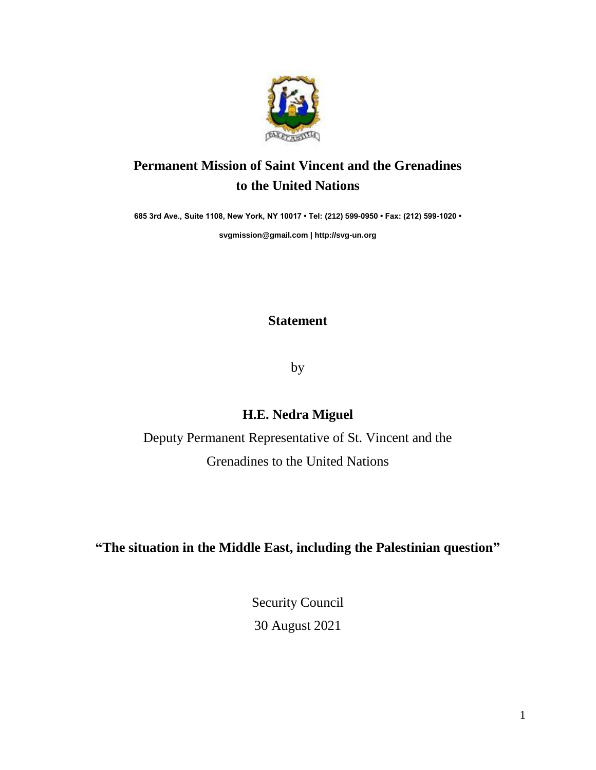

# **Permanent Mission of Saint Vincent and the Grenadines to the United Nations**

**685 3rd Ave., Suite 1108, New York, NY 10017 • Tel: (212) 599-0950 • Fax: (212) 599-1020 •** 

**[svgmission@gmail.com](mailto:svgmission@gmail.com) [| http://svg-un.org](http://svg-un.org/)**

**Statement**

by

### **H.E. Nedra Miguel**

Deputy Permanent Representative of St. Vincent and the Grenadines to the United Nations

**"The situation in the Middle East, including the Palestinian question"**

Security Council 30 August 2021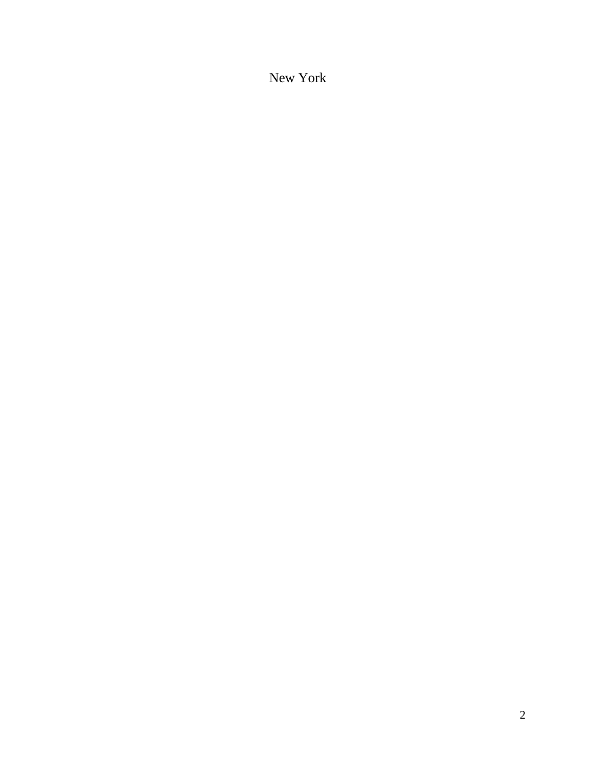New York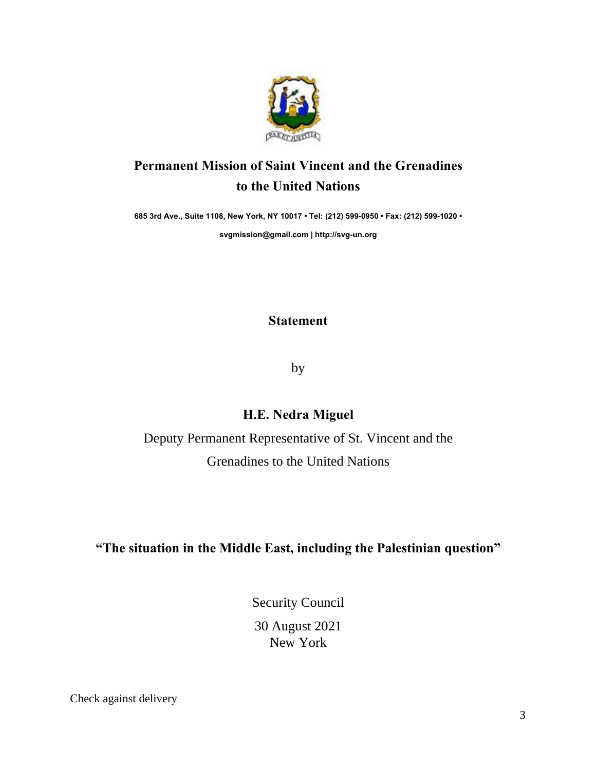

# **Permanent Mission of Saint Vincent and the Grenadines to the United Nations**

**685 3rd Ave., Suite 1108, New York, NY 10017 • Tel: (212) 599-0950 • Fax: (212) 599-1020 •**

**svgmission@gmail.com | http://svg-un.org**

**Statement**

by

#### **H.E. Nedra Miguel**

Deputy Permanent Representative of St. Vincent and the Grenadines to the United Nations

#### **"The situation in the Middle East, including the Palestinian question"**

Security Council 30 August 2021 New York

Check against delivery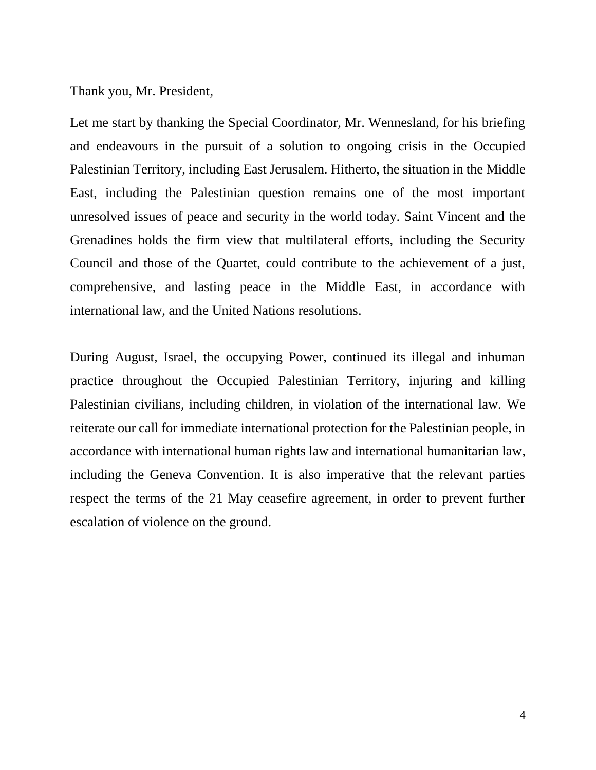Thank you, Mr. President,

Let me start by thanking the Special Coordinator, Mr. Wennesland, for his briefing and endeavours in the pursuit of a solution to ongoing crisis in the Occupied Palestinian Territory, including East Jerusalem. Hitherto, the situation in the Middle East, including the Palestinian question remains one of the most important unresolved issues of peace and security in the world today. Saint Vincent and the Grenadines holds the firm view that multilateral efforts, including the Security Council and those of the Quartet, could contribute to the achievement of a just, comprehensive, and lasting peace in the Middle East, in accordance with international law, and the United Nations resolutions.

During August, Israel, the occupying Power, continued its illegal and inhuman practice throughout the Occupied Palestinian Territory, injuring and killing Palestinian civilians, including children, in violation of the international law. We reiterate our call for immediate international protection for the Palestinian people, in accordance with international human rights law and international humanitarian law, including the Geneva Convention. It is also imperative that the relevant parties respect the terms of the 21 May ceasefire agreement, in order to prevent further escalation of violence on the ground.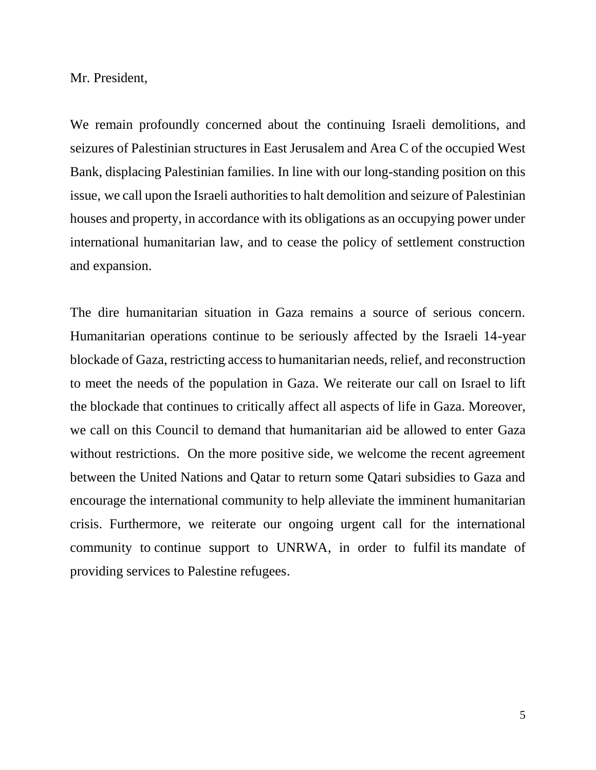Mr. President,

We remain profoundly concerned about the continuing Israeli demolitions, and seizures of Palestinian structures in East Jerusalem and Area C of the occupied West Bank, displacing Palestinian families. In line with our long-standing position on this issue, we call upon the Israeli authorities to halt demolition and seizure of Palestinian houses and property, in accordance with its obligations as an occupying power under international humanitarian law, and to cease the policy of settlement construction and expansion.

The dire humanitarian situation in Gaza remains a source of serious concern. Humanitarian operations continue to be seriously affected by the Israeli 14-year blockade of Gaza, restricting access to humanitarian needs, relief, and reconstruction to meet the needs of the population in Gaza. We reiterate our call on Israel to lift the blockade that continues to critically affect all aspects of life in Gaza. Moreover, we call on this Council to demand that humanitarian aid be allowed to enter Gaza without restrictions. On the more positive side, we welcome the recent agreement between the United Nations and Qatar to return some Qatari subsidies to Gaza and encourage the international community to help alleviate the imminent humanitarian crisis. Furthermore, we reiterate our ongoing urgent call for the international community to continue support to UNRWA, in order to fulfil its mandate of providing services to Palestine refugees.